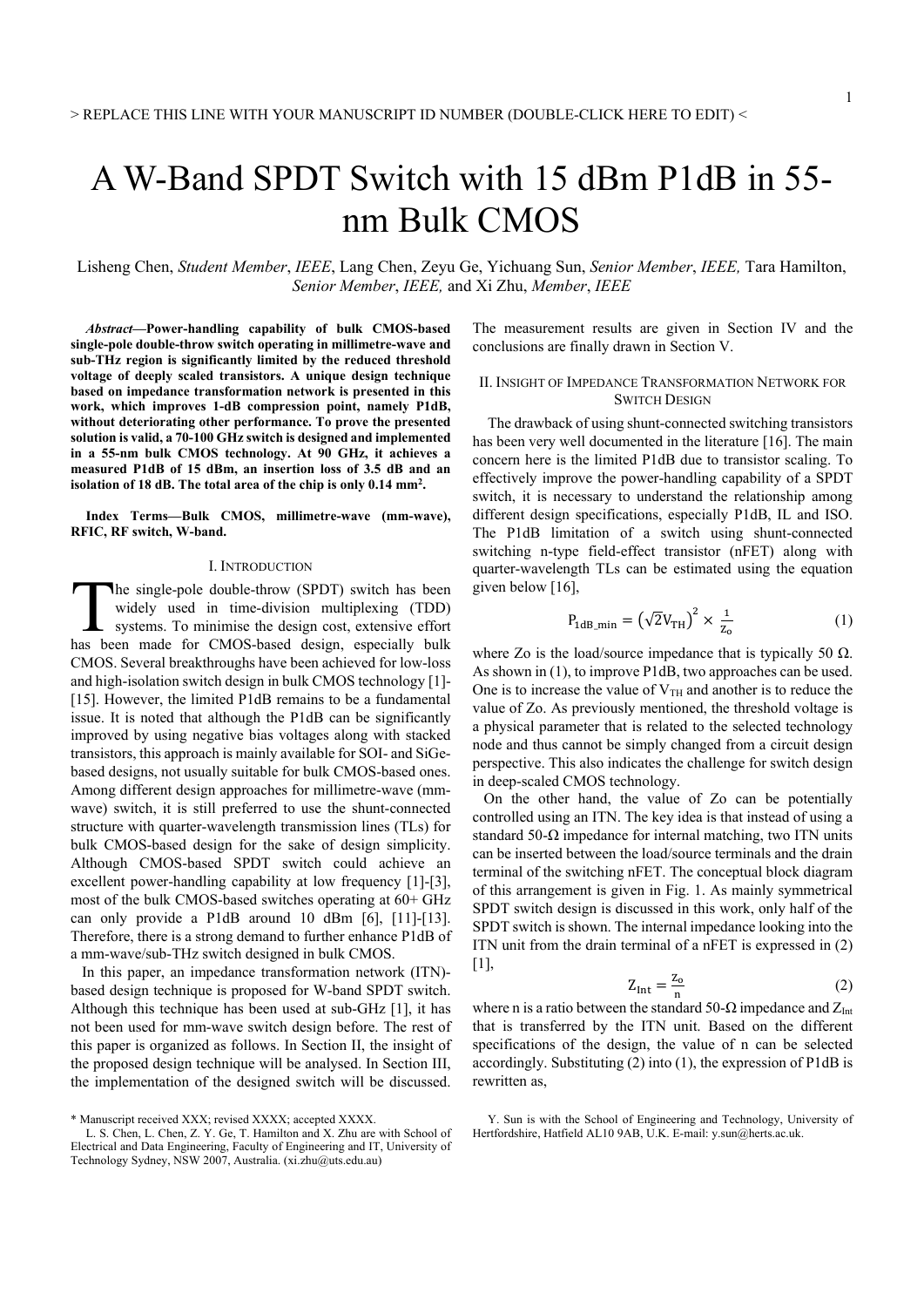# A W-Band SPDT Switch with 15 dBm P1dB in 55 nm Bulk CMOS

Lisheng Chen, *Student Member*, *IEEE*, Lang Chen, Zeyu Ge, Yichuang Sun, *Senior Member*, *IEEE,* Tara Hamilton, *Senior Member*, *IEEE,* and Xi Zhu, *Member*, *IEEE* 

*Abstract***—Power-handling capability of bulk CMOS-based single-pole double-throw switch operating in millimetre-wave and sub-THz region is significantly limited by the reduced threshold voltage of deeply scaled transistors. A unique design technique based on impedance transformation network is presented in this work, which improves 1-dB compression point, namely P1dB, without deteriorating other performance. To prove the presented solution is valid, a 70-100 GHz switch is designed and implemented in a 55-nm bulk CMOS technology. At 90 GHz, it achieves a measured P1dB of 15 dBm, an insertion loss of 3.5 dB and an isolation of 18 dB. The total area of the chip is only 0.14 mm2.** 

**Index Terms—Bulk CMOS, millimetre-wave (mm-wave), RFIC, RF switch, W-band.** 

#### I. INTRODUCTION

he single-pole double-throw (SPDT) switch has been widely used in time-division multiplexing (TDD) systems. To minimise the design cost, extensive effort The single-pole double-throw (SPDT) switch has been widely used in time-division multiplexing (TDD) systems. To minimise the design cost, extensive effort has been made for CMOS-based design, especially bulk CMOS. Several breakthroughs have been achieved for low-loss and high-isolation switch design in bulk CMOS technology [1]- [15]. However, the limited P1dB remains to be a fundamental issue. It is noted that although the P1dB can be significantly improved by using negative bias voltages along with stacked transistors, this approach is mainly available for SOI- and SiGebased designs, not usually suitable for bulk CMOS-based ones. Among different design approaches for millimetre-wave (mmwave) switch, it is still preferred to use the shunt-connected structure with quarter-wavelength transmission lines (TLs) for bulk CMOS-based design for the sake of design simplicity. Although CMOS-based SPDT switch could achieve an excellent power-handling capability at low frequency [1]-[3], most of the bulk CMOS-based switches operating at 60+ GHz can only provide a P1dB around 10 dBm [6], [11]-[13]. Therefore, there is a strong demand to further enhance P1dB of a mm-wave/sub-THz switch designed in bulk CMOS.

 In this paper, an impedance transformation network (ITN) based design technique is proposed for W-band SPDT switch. Although this technique has been used at sub-GHz [1], it has not been used for mm-wave switch design before. The rest of this paper is organized as follows. In Section II, the insight of the proposed design technique will be analysed. In Section III, the implementation of the designed switch will be discussed.

The measurement results are given in Section IV and the conclusions are finally drawn in Section V.

### II. INSIGHT OF IMPEDANCE TRANSFORMATION NETWORK FOR SWITCH DESIGN

The drawback of using shunt-connected switching transistors has been very well documented in the literature [16]. The main concern here is the limited P1dB due to transistor scaling. To effectively improve the power-handling capability of a SPDT switch, it is necessary to understand the relationship among different design specifications, especially P1dB, IL and ISO. The P1dB limitation of a switch using shunt-connected switching n-type field-effect transistor (nFET) along with quarter-wavelength TLs can be estimated using the equation given below [16],

$$
P_{1dB\_min} = (\sqrt{2}V_{TH})^2 \times \frac{1}{z_0}
$$
 (1)

where Zo is the load/source impedance that is typically 50  $\Omega$ . As shown in (1), to improve P1dB, two approaches can be used. One is to increase the value of  $V<sub>TH</sub>$  and another is to reduce the value of Zo. As previously mentioned, the threshold voltage is a physical parameter that is related to the selected technology node and thus cannot be simply changed from a circuit design perspective. This also indicates the challenge for switch design in deep-scaled CMOS technology.

 On the other hand, the value of Zo can be potentially controlled using an ITN. The key idea is that instead of using a standard 50- $\Omega$  impedance for internal matching, two ITN units can be inserted between the load/source terminals and the drain terminal of the switching nFET. The conceptual block diagram of this arrangement is given in Fig. 1. As mainly symmetrical SPDT switch design is discussed in this work, only half of the SPDT switch is shown. The internal impedance looking into the ITN unit from the drain terminal of a nFET is expressed in (2) [1],

$$
Z_{\text{Int}} = \frac{z_0}{n} \tag{2}
$$

where n is a ratio between the standard 50- $\Omega$  impedance and  $Z_{\text{Int}}$ that is transferred by the ITN unit. Based on the different specifications of the design, the value of n can be selected accordingly. Substituting (2) into (1), the expression of P1dB is rewritten as,

<sup>\*</sup> Manuscript received XXX; revised XXXX; accepted XXXX.

L. S. Chen, L. Chen, Z. Y. Ge, T. Hamilton and X. Zhu are with School of Electrical and Data Engineering, Faculty of Engineering and IT, University of Technology Sydney, NSW 2007, Australia. (xi.zhu@uts.edu.au)

Y. Sun is with the School of Engineering and Technology, University of Hertfordshire, Hatfield AL10 9AB, U.K. E-mail: y.sun@herts.ac.uk.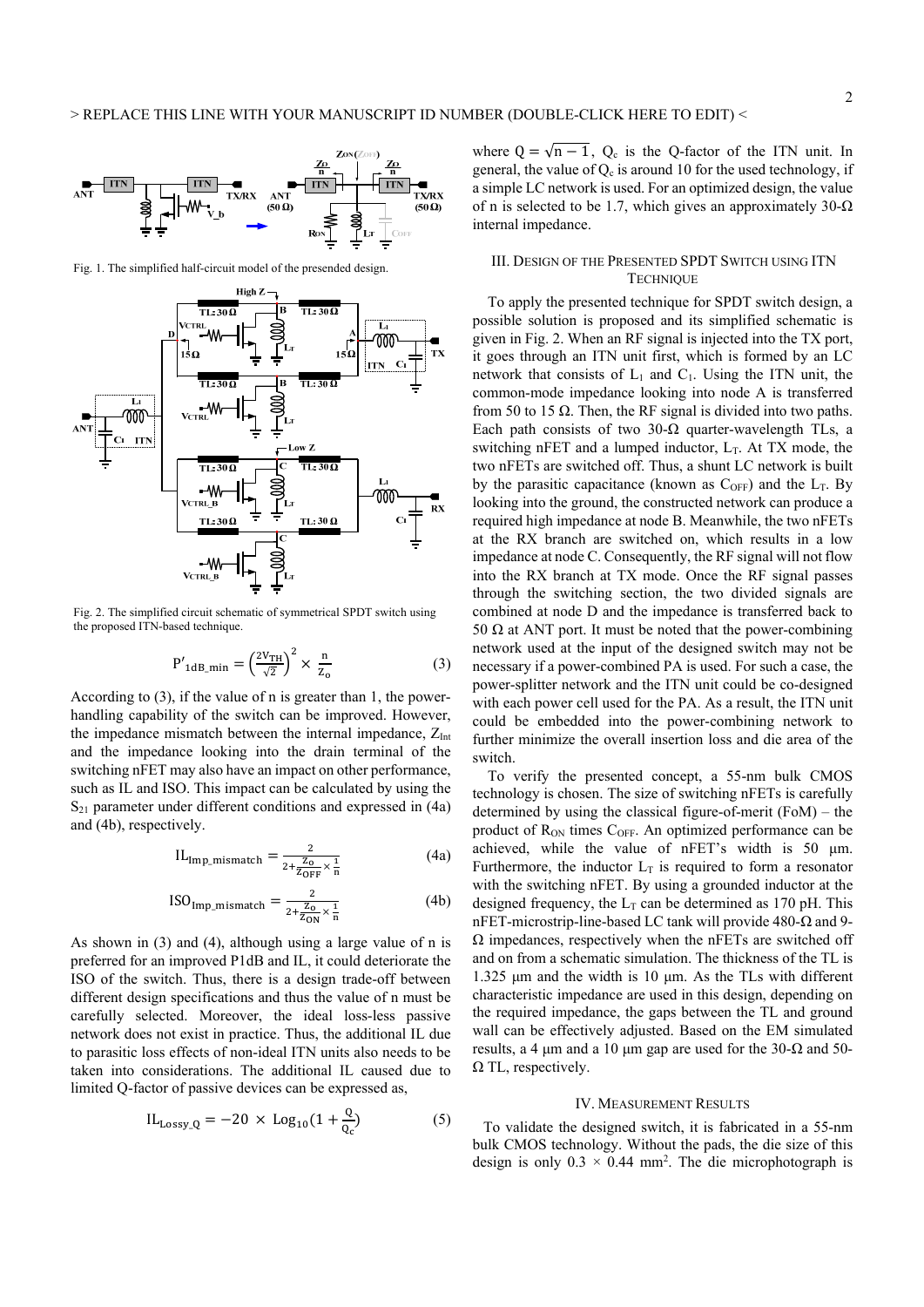

Fig. 1. The simplified half-circuit model of the presended design.



Fig. 2. The simplified circuit schematic of symmetrical SPDT switch using the proposed ITN-based technique.

$$
P'_{1dB\_min} = \left(\frac{2V_{TH}}{\sqrt{2}}\right)^2 \times \frac{n}{Z_0}
$$
 (3)

According to (3), if the value of n is greater than 1, the powerhandling capability of the switch can be improved. However, the impedance mismatch between the internal impedance,  $Z<sub>Int</sub>$ and the impedance looking into the drain terminal of the switching nFET may also have an impact on other performance, such as IL and ISO. This impact can be calculated by using the  $S_{21}$  parameter under different conditions and expressed in (4a) and (4b), respectively.

$$
IL_{Imp\_mismatch} = \frac{2}{2 + \frac{Z_0}{Z_{OFF}} \times \frac{1}{n}}
$$
(4a)

$$
\text{ISO}_{\text{Imp\_mismatch}} = \frac{2}{2 + \frac{Z_0}{Z_{\text{ON}}} \times \frac{1}{n}} \tag{4b}
$$

As shown in (3) and (4), although using a large value of n is preferred for an improved P1dB and IL, it could deteriorate the ISO of the switch. Thus, there is a design trade-off between different design specifications and thus the value of n must be carefully selected. Moreover, the ideal loss-less passive network does not exist in practice. Thus, the additional IL due to parasitic loss effects of non-ideal ITN units also needs to be taken into considerations. The additional IL caused due to limited Q-factor of passive devices can be expressed as,

$$
IL_{Lossy_Q} = -20 \times Log_{10}(1 + \frac{Q}{Q_c})
$$
 (5)

where  $Q = \sqrt{n-1}$ ,  $Q_c$  is the Q-factor of the ITN unit. In general, the value of  $Q_c$  is around 10 for the used technology, if a simple LC network is used. For an optimized design, the value of n is selected to be 1.7, which gives an approximately  $30-\Omega$ internal impedance.

## III. DESIGN OF THE PRESENTED SPDT SWITCH USING ITN **TECHNIQUE**

To apply the presented technique for SPDT switch design, a possible solution is proposed and its simplified schematic is given in Fig. 2. When an RF signal is injected into the TX port, it goes through an ITN unit first, which is formed by an LC network that consists of  $L_1$  and  $C_1$ . Using the ITN unit, the common-mode impedance looking into node A is transferred from 50 to 15  $\Omega$ . Then, the RF signal is divided into two paths. Each path consists of two 30- $\Omega$  quarter-wavelength TLs, a switching nFET and a lumped inductor,  $L_T$ . At TX mode, the two nFETs are switched off. Thus, a shunt LC network is built by the parasitic capacitance (known as  $C_{OFF}$ ) and the  $L_T$ . By looking into the ground, the constructed network can produce a required high impedance at node B. Meanwhile, the two nFETs at the RX branch are switched on, which results in a low impedance at node C. Consequently, the RF signal will not flow into the RX branch at TX mode. Once the RF signal passes through the switching section, the two divided signals are combined at node D and the impedance is transferred back to 50  $\Omega$  at ANT port. It must be noted that the power-combining network used at the input of the designed switch may not be necessary if a power-combined PA is used. For such a case, the power-splitter network and the ITN unit could be co-designed with each power cell used for the PA. As a result, the ITN unit could be embedded into the power-combining network to further minimize the overall insertion loss and die area of the switch.

To verify the presented concept, a 55-nm bulk CMOS technology is chosen. The size of switching nFETs is carefully determined by using the classical figure-of-merit (FoM) – the product of R<sub>ON</sub> times C<sub>OFF</sub>. An optimized performance can be achieved, while the value of nFET's width is 50 μm. Furthermore, the inductor  $L_T$  is required to form a resonator with the switching nFET. By using a grounded inductor at the designed frequency, the  $L_T$  can be determined as 170 pH. This nFET-microstrip-line-based LC tank will provide 480-Ω and 9-  $\Omega$  impedances, respectively when the nFETs are switched off and on from a schematic simulation. The thickness of the TL is 1.325 μm and the width is 10 μm. As the TLs with different characteristic impedance are used in this design, depending on the required impedance, the gaps between the TL and ground wall can be effectively adjusted. Based on the EM simulated results, a 4  $\mu$ m and a 10  $\mu$ m gap are used for the 30- $\Omega$  and 50- $\Omega$  TL, respectively.

#### IV. MEASUREMENT RESULTS

To validate the designed switch, it is fabricated in a 55-nm bulk CMOS technology. Without the pads, the die size of this design is only  $0.3 \times 0.44$  mm<sup>2</sup>. The die microphotograph is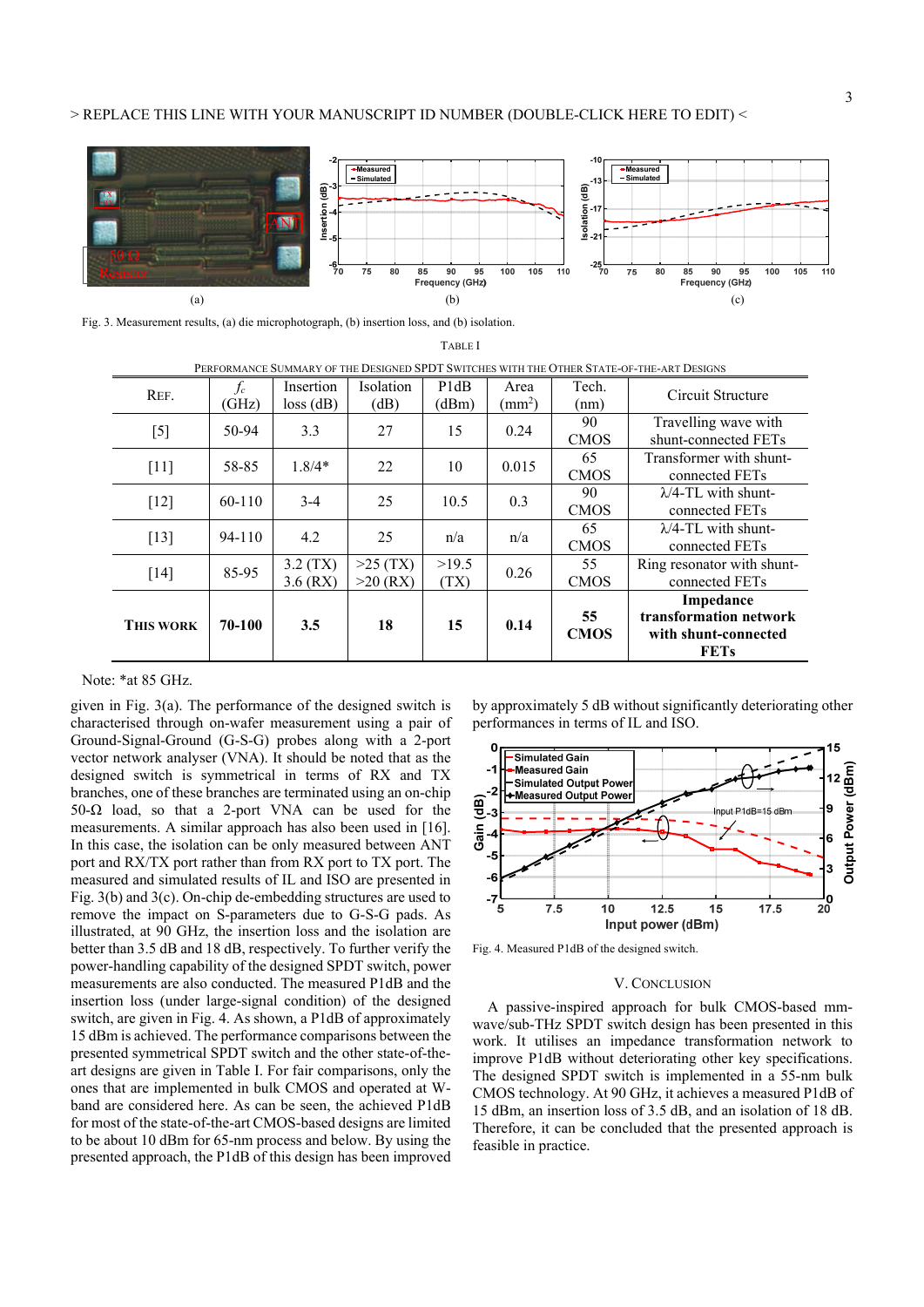## > REPLACE THIS LINE WITH YOUR MANUSCRIPT ID NUMBER (DOUBLE-CLICK HERE TO EDIT) <



TABLE I

Fig. 3. Measurement results, (a) die microphotograph, (b) insertion loss, and (b) isolation.

| PERFORMANCE SUMMARY OF THE DESIGNED SPDT SWITCHES WITH THE OTHER STATE-OF-THE-ART DESIGNS |        |             |                  |                               |                         |             |                             |
|-------------------------------------------------------------------------------------------|--------|-------------|------------------|-------------------------------|-------------------------|-------------|-----------------------------|
| REF.                                                                                      | $f_c$  | Insertion   | <b>Isolation</b> | P <sub>1</sub> d <sub>B</sub> | Area                    | Tech.       | Circuit Structure           |
|                                                                                           | (GHz)  | $loss$ (dB) | (dB)             | (dBm)                         | $\text{ (mm}^2\text{)}$ | (nm)        |                             |
| $[5]$                                                                                     | 50-94  | 3.3         | 27               | 15                            | 0.24                    | 90          | Travelling wave with        |
|                                                                                           |        |             |                  |                               |                         | <b>CMOS</b> | shunt-connected FETs        |
| $[11]$                                                                                    | 58-85  | $1.8/4*$    | 22               | 10                            | 0.015                   | 65          | Transformer with shunt-     |
|                                                                                           |        |             |                  |                               |                         | <b>CMOS</b> | connected FETs              |
| $[12]$                                                                                    | 60-110 | $3-4$       | 25               | 10.5                          | 0.3                     | 90          | $\lambda$ /4-TL with shunt- |
|                                                                                           |        |             |                  |                               |                         | <b>CMOS</b> | connected FETs              |
| $[13]$                                                                                    | 94-110 | 4.2         | 25               | n/a                           | n/a                     | 65          | $\lambda$ /4-TL with shunt- |
|                                                                                           |        |             |                  |                               |                         | <b>CMOS</b> | connected FETs              |
|                                                                                           | 85-95  | 3.2(TX)     | $>25$ (TX)       | >19.5                         | 0.26                    | 55          | Ring resonator with shunt-  |
| [14]                                                                                      |        | $3.6$ (RX)  | $>20$ (RX)       | (TX)                          |                         | <b>CMOS</b> | connected FETs              |
| <b>THIS WORK</b>                                                                          | 70-100 | 3.5         | 18               | 15                            | 0.14                    |             | Impedance                   |
|                                                                                           |        |             |                  |                               |                         | 55          | transformation network      |
|                                                                                           |        |             |                  |                               |                         | <b>CMOS</b> | with shunt-connected        |
|                                                                                           |        |             |                  |                               |                         |             | <b>FETs</b>                 |

Note: \*at 85 GHz.

given in Fig. 3(a). The performance of the designed switch is characterised through on-wafer measurement using a pair of Ground-Signal-Ground (G-S-G) probes along with a 2-port vector network analyser (VNA). It should be noted that as the designed switch is symmetrical in terms of RX and TX branches, one of these branches are terminated using an on-chip 50-Ω load, so that a 2-port VNA can be used for the measurements. A similar approach has also been used in [16]. In this case, the isolation can be only measured between ANT port and RX/TX port rather than from RX port to TX port. The measured and simulated results of IL and ISO are presented in Fig. 3(b) and 3(c). On-chip de-embedding structures are used to remove the impact on S-parameters due to G-S-G pads. As illustrated, at 90 GHz, the insertion loss and the isolation are better than 3.5 dB and 18 dB, respectively. To further verify the power-handling capability of the designed SPDT switch, power measurements are also conducted. The measured P1dB and the insertion loss (under large-signal condition) of the designed switch, are given in Fig. 4. As shown, a P1dB of approximately 15 dBm is achieved. The performance comparisons between the presented symmetrical SPDT switch and the other state-of-theart designs are given in Table I. For fair comparisons, only the ones that are implemented in bulk CMOS and operated at Wband are considered here. As can be seen, the achieved P1dB for most of the state-of-the-art CMOS-based designs are limited to be about 10 dBm for 65-nm process and below. By using the presented approach, the P1dB of this design has been improved





Fig. 4. Measured P1dB of the designed switch.

#### V. CONCLUSION

 A passive-inspired approach for bulk CMOS-based mmwave/sub-THz SPDT switch design has been presented in this work. It utilises an impedance transformation network to improve P1dB without deteriorating other key specifications. The designed SPDT switch is implemented in a 55-nm bulk CMOS technology. At 90 GHz, it achieves a measured P1dB of 15 dBm, an insertion loss of 3.5 dB, and an isolation of 18 dB. Therefore, it can be concluded that the presented approach is Free Street Output<br>
Feature of the street of the street of the street of the designed SPD.<br>
The designed SPD.<br>
The designed SPD.<br>
The designed SPD.<br>
The designed SPD.<br>
In the designed SPD.<br>
In the designed SPD.<br>
In the des